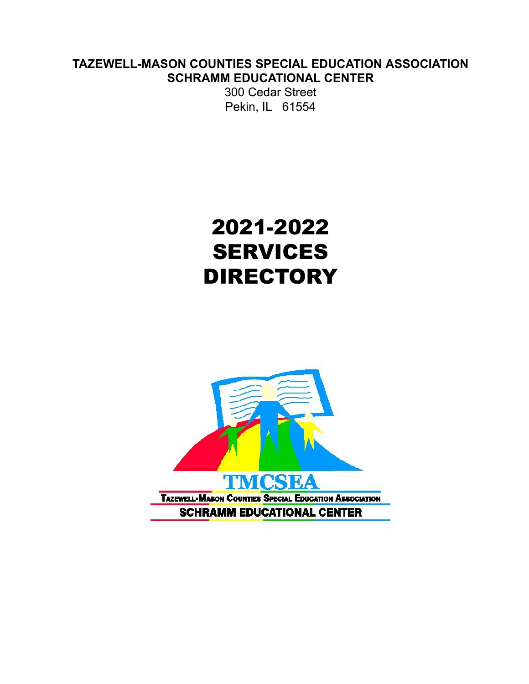### **TAZEWELL-MASON COUNTIES SPECIAL EDUCATION ASSOCIATION SCHRAMM EDUCATIONAL CENTER**

300 Cedar Street Pekin, IL 61554

# 2021-2022 SERVICES **DIRECTORY**

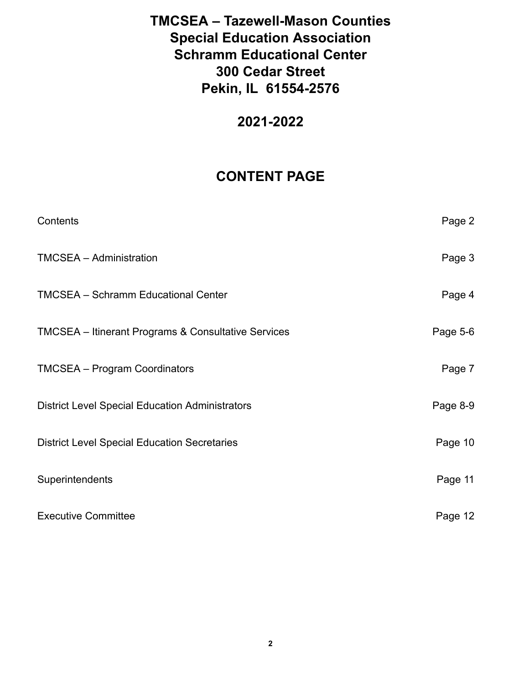# **2021-2022**

# **CONTENT PAGE**

| Contents                                               | Page 2   |
|--------------------------------------------------------|----------|
| <b>TMCSEA - Administration</b>                         | Page 3   |
| <b>TMCSEA - Schramm Educational Center</b>             | Page 4   |
| TMCSEA - Itinerant Programs & Consultative Services    | Page 5-6 |
| <b>TMCSEA - Program Coordinators</b>                   | Page 7   |
| <b>District Level Special Education Administrators</b> | Page 8-9 |
| <b>District Level Special Education Secretaries</b>    | Page 10  |
| Superintendents                                        | Page 11  |
| <b>Executive Committee</b>                             | Page 12  |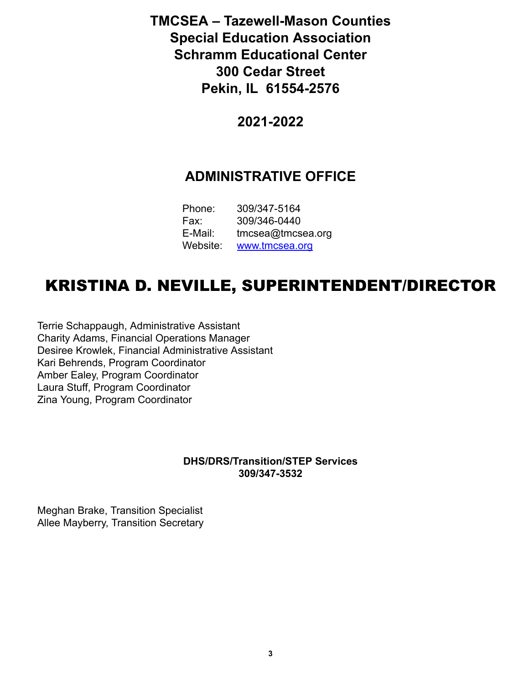**2021-2022**

# **ADMINISTRATIVE OFFICE**

| Phone:   | 309/347-5164         |
|----------|----------------------|
| Fax:     | 309/346-0440         |
| E-Mail:  | $t$ mcsea@tmcsea.org |
| Website: | www.tmcsea.org       |

# KRISTINA D. NEVILLE, SUPERINTENDENT/DIRECTOR

Terrie Schappaugh, Administrative Assistant Charity Adams, Financial Operations Manager Desiree Krowlek, Financial Administrative Assistant Kari Behrends, Program Coordinator Amber Ealey, Program Coordinator Laura Stuff, Program Coordinator Zina Young, Program Coordinator

### **DHS/DRS/Transition/STEP Services 309/347-3532**

Meghan Brake, Transition Specialist Allee Mayberry, Transition Secretary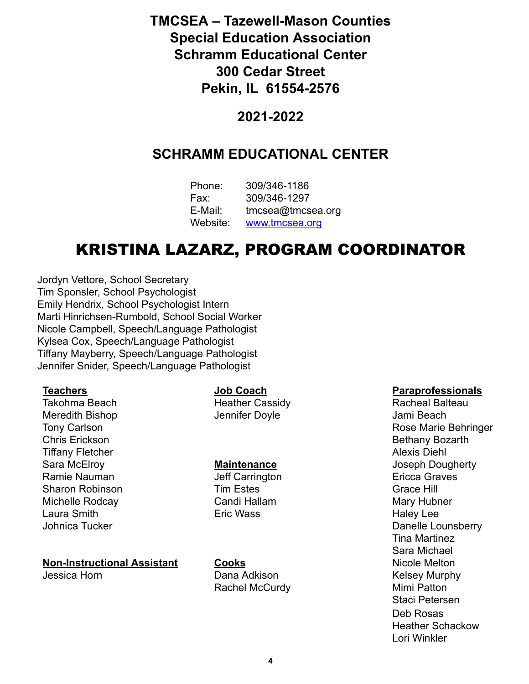### **2021-2022**

# **SCHRAMM EDUCATIONAL CENTER**

| Phone:   | 309/346-1186         |
|----------|----------------------|
| Fax:     | 309/346-1297         |
| E-Mail:  | $t$ mcsea@tmcsea.org |
| Website: | www.tmcsea.org       |

# KRISTINA LAZARZ, PROGRAM COORDINATOR

Jordyn Vettore, School Secretary Tim Sponsler, School Psychologist Emily Hendrix, School Psychologist Intern Marti Hinrichsen-Rumbold, School Social Worker Nicole Campbell, Speech/Language Pathologist Kylsea Cox, Speech/Language Pathologist Tiffany Mayberry, Speech/Language Pathologist Jennifer Snider, Speech/Language Pathologist

Takohma Beach **Heather Cassidy Heather Cassidy** Racheal Balteau Meredith Bishop **Internal Community** Jennifer Doyle **Community Seats Assembly** Jami Beach Chris Erickson **Bethany Bozarth** Tiffany Fletcher Alexis Diehl and the Contract of the Contract of the Alexis Diehl Alexis Diehl Ramie Nauman **National State of Carrington** Jeff Carrington **Example 2018** Ericca Graves Sharon Robinson **Tim Estes** Grace Hill Michelle Rodcay **Candi Hallam** Mary Hubner Laura Smith **Eric Wass** Eric Wass **Haley Lee** 

# **Non-Instructional Assistant Cooks Cooks** Nicole Melton

Jessica Horn **Communist Communist Claim Dana Adkison** Communist Communist Communist Communist Communist Communist Rachel McCurdy **Mimi Patton** 

### **Teachers Coach Paraprofessionals**

Tony Carlson **Rose Marie Behringer** Rose Marie Behringer Sara McElroy **Maintenance** Joseph Dougherty Johnica Tucker **Danelle Lounsberry Danelle Lounsberry** Tina Martinez Sara Michael Staci Petersen Deb Rosas Heather Schackow Lori Winkler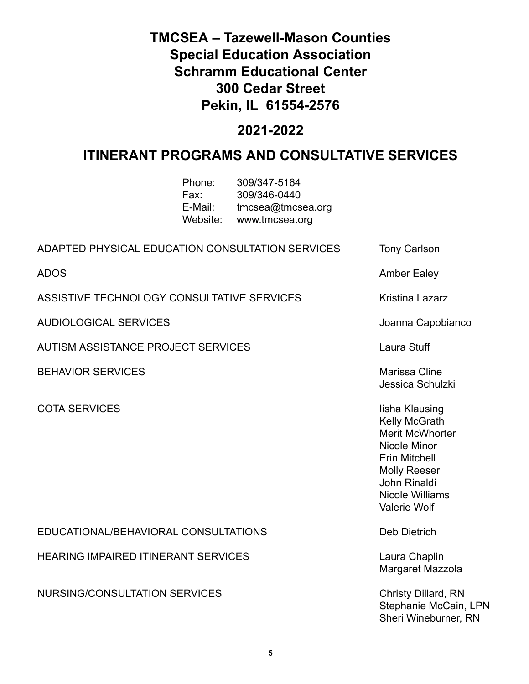# **2021-2022**

# **ITINERANT PROGRAMS AND CONSULTATIVE SERVICES**

| Phone:   | 309/347-5164      |
|----------|-------------------|
| Fax:     | 309/346-0440      |
| E-Mail:  | tmcsea@tmcsea.org |
| Website: | www.tmcsea.org    |

| ADAPTED PHYSICAL EDUCATION CONSULTATION SERVICES | <b>Tony Carlson</b>                                                                                                                                                                              |
|--------------------------------------------------|--------------------------------------------------------------------------------------------------------------------------------------------------------------------------------------------------|
| <b>ADOS</b>                                      | <b>Amber Ealey</b>                                                                                                                                                                               |
| ASSISTIVE TECHNOLOGY CONSULTATIVE SERVICES       | Kristina Lazarz                                                                                                                                                                                  |
| <b>AUDIOLOGICAL SERVICES</b>                     | Joanna Capobianco                                                                                                                                                                                |
| <b>AUTISM ASSISTANCE PROJECT SERVICES</b>        | Laura Stuff                                                                                                                                                                                      |
| <b>BEHAVIOR SERVICES</b>                         | Marissa Cline<br>Jessica Schulzki                                                                                                                                                                |
| <b>COTA SERVICES</b>                             | lisha Klausing<br>Kelly McGrath<br><b>Merit McWhorter</b><br>Nicole Minor<br><b>Erin Mitchell</b><br><b>Molly Reeser</b><br><b>John Rinaldi</b><br><b>Nicole Williams</b><br><b>Valerie Wolf</b> |
| EDUCATIONAL/BEHAVIORAL CONSULTATIONS             | Deb Dietrich                                                                                                                                                                                     |
| <b>HEARING IMPAIRED ITINERANT SERVICES</b>       | Laura Chaplin<br>Margaret Mazzola                                                                                                                                                                |
| <b>NURSING/CONSULTATION SERVICES</b>             | <b>Christy Dillard, RN</b><br>Stephanie McCain, LPN<br>Sheri Wineburner, RN                                                                                                                      |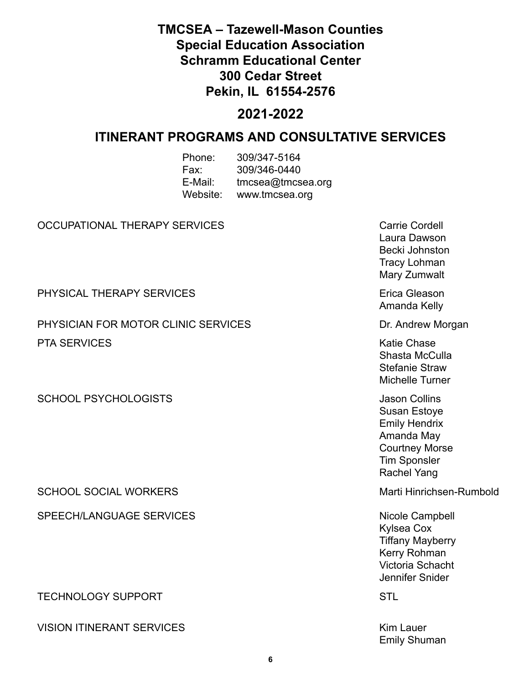# **2021-2022**

### **ITINERANT PROGRAMS AND CONSULTATIVE SERVICES**

| Phone:   | 309/347-5164      |
|----------|-------------------|
| Fax:     | 309/346-0440      |
| E-Mail:  | tmcsea@tmcsea.org |
| Website: | www.tmcsea.org    |

### OCCUPATIONAL THERAPY SERVICES CONTROLLED THE CORD Carrie Cordell

PHYSICAL THERAPY SERVICES **EXAMPLE 1999** Erica Gleason

PHYSICIAN FOR MOTOR CLINIC SERVICES DELAY STORE AND THE DISTURNATION OF PHYSICIAN FOR MOTOR CLINIC SERVICES PTA SERVICES **Katie Chase** 

SCHOOL PSYCHOLOGISTS **SCHOOL ASSESS** Jason Collins

SCHOOL SOCIAL WORKERS Marti Hinrichsen-Rumbold

SPEECH/LANGUAGE SERVICES Nicole Campbell

TECHNOLOGY SUPPORT STL

VISION ITINERANT SERVICES **Kim Lauer** Kim Lauer

Laura Dawson Becki Johnston Tracy Lohman Mary Zumwalt Amanda Kelly

Shasta McCulla Stefanie Straw Michelle Turner

Susan Estoye Emily Hendrix Amanda May Courtney Morse Tim Sponsler Rachel Yang

Kylsea Cox Tiffany Mayberry Kerry Rohman Victoria Schacht Jennifer Snider

Emily Shuman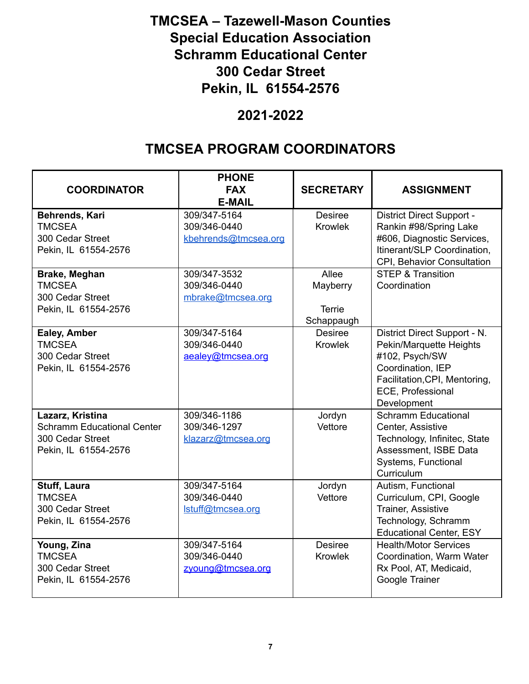### **2021-2022**

# **TMCSEA PROGRAM COORDINATORS**

| <b>COORDINATOR</b>                                                                                | <b>PHONE</b><br><b>FAX</b><br><b>E-MAIL</b>          | <b>SECRETARY</b>                                 | <b>ASSIGNMENT</b>                                                                                                                                                   |
|---------------------------------------------------------------------------------------------------|------------------------------------------------------|--------------------------------------------------|---------------------------------------------------------------------------------------------------------------------------------------------------------------------|
| Behrends, Kari<br><b>TMCSEA</b><br>300 Cedar Street<br>Pekin, IL 61554-2576                       | 309/347-5164<br>309/346-0440<br>kbehrends@tmcsea.org | <b>Desiree</b><br><b>Krowlek</b>                 | District Direct Support -<br>Rankin #98/Spring Lake<br>#606, Diagnostic Services,<br>Itinerant/SLP Coordination,<br>CPI, Behavior Consultation                      |
| Brake, Meghan<br><b>TMCSEA</b><br>300 Cedar Street<br>Pekin, IL 61554-2576                        | 309/347-3532<br>309/346-0440<br>mbrake@tmcsea.org    | Allee<br>Mayberry<br><b>Terrie</b><br>Schappaugh | <b>STEP &amp; Transition</b><br>Coordination                                                                                                                        |
| Ealey, Amber<br><b>TMCSEA</b><br>300 Cedar Street<br>Pekin, IL 61554-2576                         | 309/347-5164<br>309/346-0440<br>aealey@tmcsea.org    | <b>Desiree</b><br><b>Krowlek</b>                 | District Direct Support - N.<br>Pekin/Marquette Heights<br>#102, Psych/SW<br>Coordination, IEP<br>Facilitation, CPI, Mentoring,<br>ECE, Professional<br>Development |
| Lazarz, Kristina<br><b>Schramm Educational Center</b><br>300 Cedar Street<br>Pekin, IL 61554-2576 | 309/346-1186<br>309/346-1297<br>klazarz@tmcsea.org   | Jordyn<br>Vettore                                | <b>Schramm Educational</b><br>Center, Assistive<br>Technology, Infinitec, State<br>Assessment, ISBE Data<br>Systems, Functional<br>Curriculum                       |
| Stuff, Laura<br><b>TMCSEA</b><br>300 Cedar Street<br>Pekin, IL 61554-2576                         | 309/347-5164<br>309/346-0440<br>Istuff@tmcsea.org    | Jordyn<br>Vettore                                | Autism, Functional<br>Curriculum, CPI, Google<br><b>Trainer, Assistive</b><br>Technology, Schramm<br><b>Educational Center, ESY</b>                                 |
| Young, Zina<br><b>TMCSEA</b><br>300 Cedar Street<br>Pekin, IL 61554-2576                          | 309/347-5164<br>309/346-0440<br>zyoung@tmcsea.org    | <b>Desiree</b><br><b>Krowlek</b>                 | <b>Health/Motor Services</b><br>Coordination, Warm Water<br>Rx Pool, AT, Medicaid,<br>Google Trainer                                                                |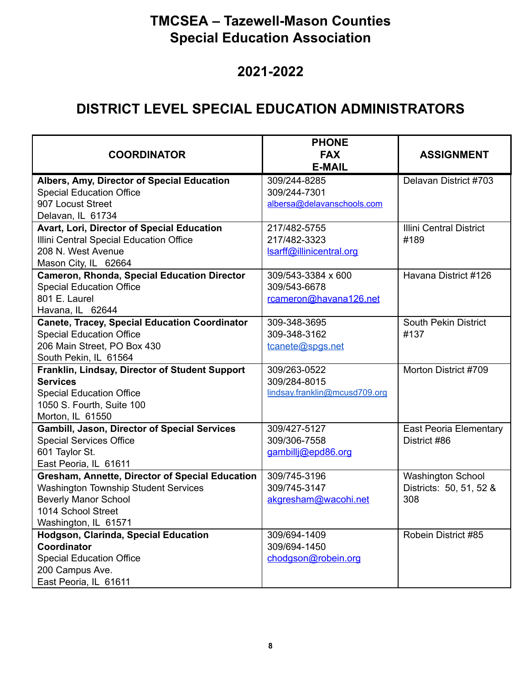# **2021-2022**

# **DISTRICT LEVEL SPECIAL EDUCATION ADMINISTRATORS**

| <b>COORDINATOR</b>                                   | <b>PHONE</b><br><b>FAX</b>    | <b>ASSIGNMENT</b>              |
|------------------------------------------------------|-------------------------------|--------------------------------|
|                                                      | <b>E-MAIL</b>                 |                                |
| Albers, Amy, Director of Special Education           | 309/244-8285                  | Delavan District #703          |
| <b>Special Education Office</b>                      | 309/244-7301                  |                                |
| 907 Locust Street                                    | albersa@delavanschools.com    |                                |
| Delavan, IL 61734                                    |                               |                                |
| Avart, Lori, Director of Special Education           | 217/482-5755                  | <b>Illini Central District</b> |
| Illini Central Special Education Office              | 217/482-3323                  | #189                           |
| 208 N. West Avenue                                   | Isarff@illinicentral.org      |                                |
| Mason City, IL 62664                                 |                               |                                |
| <b>Cameron, Rhonda, Special Education Director</b>   | 309/543-3384 x 600            | Havana District #126           |
| <b>Special Education Office</b>                      | 309/543-6678                  |                                |
| 801 E. Laurel                                        | rcameron@havana126.net        |                                |
| Havana, IL 62644                                     |                               |                                |
| <b>Canete, Tracey, Special Education Coordinator</b> | 309-348-3695                  | <b>South Pekin District</b>    |
| <b>Special Education Office</b>                      | 309-348-3162                  | #137                           |
| 206 Main Street, PO Box 430                          | tcanete@spgs.net              |                                |
| South Pekin, IL 61564                                |                               |                                |
| Franklin, Lindsay, Director of Student Support       | 309/263-0522                  | Morton District #709           |
| <b>Services</b>                                      | 309/284-8015                  |                                |
| <b>Special Education Office</b>                      | lindsay.franklin@mcusd709.org |                                |
| 1050 S. Fourth, Suite 100                            |                               |                                |
| Morton, IL 61550                                     |                               |                                |
| <b>Gambill, Jason, Director of Special Services</b>  | 309/427-5127                  | <b>East Peoria Elementary</b>  |
| <b>Special Services Office</b>                       | 309/306-7558                  | District #86                   |
| 601 Taylor St.                                       | gambillj@epd86.org            |                                |
| East Peoria, IL 61611                                |                               |                                |
| Gresham, Annette, Director of Special Education      | 309/745-3196                  | <b>Washington School</b>       |
| <b>Washington Township Student Services</b>          | 309/745-3147                  | Districts: 50, 51, 52 &        |
| <b>Beverly Manor School</b>                          | akgresham@wacohi.net          | 308                            |
| 1014 School Street                                   |                               |                                |
| Washington, IL 61571                                 |                               |                                |
| <b>Hodgson, Clarinda, Special Education</b>          | 309/694-1409                  | Robein District #85            |
| Coordinator                                          | 309/694-1450                  |                                |
| <b>Special Education Office</b>                      | chodgson@robein.org           |                                |
| 200 Campus Ave.                                      |                               |                                |
| East Peoria, IL 61611                                |                               |                                |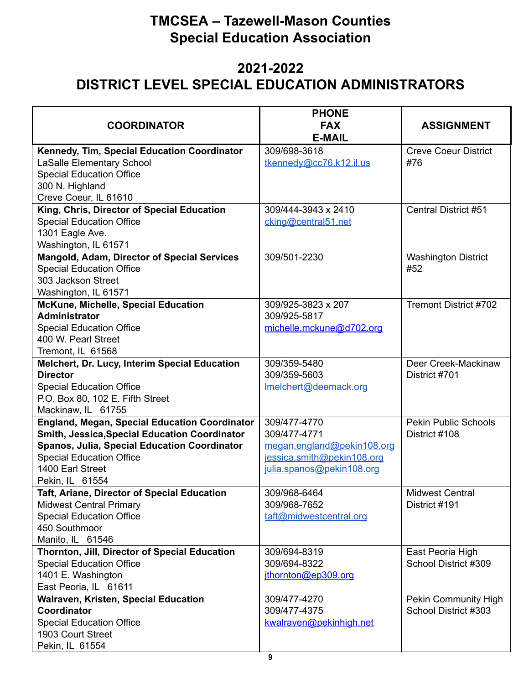# **2021-2022 DISTRICT LEVEL SPECIAL EDUCATION ADMINISTRATORS**

|                                                                      | <b>PHONE</b>                             |                                                     |
|----------------------------------------------------------------------|------------------------------------------|-----------------------------------------------------|
| <b>COORDINATOR</b>                                                   | <b>FAX</b><br><b>E-MAIL</b>              | <b>ASSIGNMENT</b>                                   |
| Kennedy, Tim, Special Education Coordinator                          | 309/698-3618                             | <b>Creve Coeur District</b>                         |
| <b>LaSalle Elementary School</b>                                     | tkennedy@cc76.k12.il.us                  | #76                                                 |
| <b>Special Education Office</b>                                      |                                          |                                                     |
| 300 N. Highland                                                      |                                          |                                                     |
| Creve Coeur, IL 61610                                                |                                          |                                                     |
| King, Chris, Director of Special Education                           | 309/444-3943 x 2410                      | <b>Central District #51</b>                         |
| <b>Special Education Office</b>                                      | cking@central51.net                      |                                                     |
| 1301 Eagle Ave.                                                      |                                          |                                                     |
| Washington, IL 61571                                                 |                                          |                                                     |
| Mangold, Adam, Director of Special Services                          | 309/501-2230                             | <b>Washington District</b>                          |
| <b>Special Education Office</b>                                      |                                          | #52                                                 |
| 303 Jackson Street                                                   |                                          |                                                     |
| Washington, IL 61571                                                 |                                          |                                                     |
| McKune, Michelle, Special Education<br><b>Administrator</b>          | 309/925-3823 x 207                       | Tremont District #702                               |
|                                                                      | 309/925-5817<br>michelle.mckune@d702.org |                                                     |
| <b>Special Education Office</b><br>400 W. Pearl Street               |                                          |                                                     |
| Tremont, IL 61568                                                    |                                          |                                                     |
| Melchert, Dr. Lucy, Interim Special Education                        | 309/359-5480                             | Deer Creek-Mackinaw                                 |
| <b>Director</b>                                                      | 309/359-5603                             | District #701                                       |
| <b>Special Education Office</b>                                      | Imelchert@deemack.org                    |                                                     |
| P.O. Box 80, 102 E. Fifth Street                                     |                                          |                                                     |
| Mackinaw, IL 61755                                                   |                                          |                                                     |
| <b>England, Megan, Special Education Coordinator</b>                 | 309/477-4770                             | <b>Pekin Public Schools</b>                         |
| <b>Smith, Jessica, Special Education Coordinator</b>                 | 309/477-4771                             | District #108                                       |
| Spanos, Julia, Special Education Coordinator                         | megan.england@pekin108.org               |                                                     |
| <b>Special Education Office</b>                                      | jessica.smith@pekin108.org               |                                                     |
| 1400 Earl Street                                                     | julia.spanos@pekin108.org                |                                                     |
| Pekin, IL 61554                                                      |                                          |                                                     |
| Taft, Ariane, Director of Special Education                          | 309/968-6464                             | <b>Midwest Central</b>                              |
| <b>Midwest Central Primary</b>                                       | 309/968-7652                             | District #191                                       |
| <b>Special Education Office</b>                                      | taft@midwestcentral.org                  |                                                     |
| 450 Southmoor                                                        |                                          |                                                     |
| Manito, IL 61546                                                     |                                          |                                                     |
| Thornton, Jill, Director of Special Education                        | 309/694-8319                             | East Peoria High                                    |
| <b>Special Education Office</b>                                      | 309/694-8322                             | School District #309                                |
| 1401 E. Washington                                                   | ithornton@ep309.org                      |                                                     |
| East Peoria, IL 61611<br><b>Walraven, Kristen, Special Education</b> | 309/477-4270                             |                                                     |
| <b>Coordinator</b>                                                   | 309/477-4375                             | <b>Pekin Community High</b><br>School District #303 |
| <b>Special Education Office</b>                                      | kwalraven@pekinhigh.net                  |                                                     |
| 1903 Court Street                                                    |                                          |                                                     |
| Pekin, IL 61554                                                      |                                          |                                                     |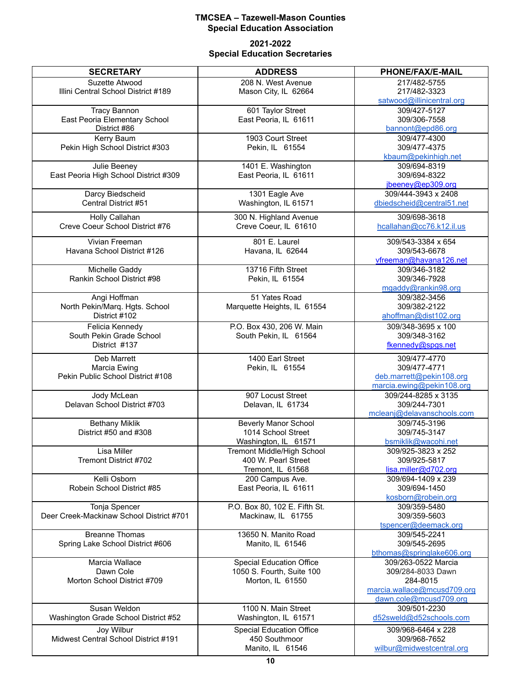### **2021-2022 Special Education Secretaries**

| <b>SECRETARY</b>                                     | <b>ADDRESS</b>                           | PHONE/FAX/E-MAIL                                 |
|------------------------------------------------------|------------------------------------------|--------------------------------------------------|
| Suzette Atwood                                       | 208 N. West Avenue                       | 217/482-5755                                     |
| Illini Central School District #189                  | Mason City, IL 62664                     | 217/482-3323                                     |
|                                                      | 601 Taylor Street                        | satwood@illinicentral.org<br>309/427-5127        |
| <b>Tracy Bannon</b><br>East Peoria Elementary School | East Peoria, IL 61611                    | 309/306-7558                                     |
| District #86                                         |                                          | bannont@epd86.org                                |
| Kerry Baum                                           | 1903 Court Street                        | 309/477-4300                                     |
| Pekin High School District #303                      | Pekin, IL 61554                          | 309/477-4375                                     |
|                                                      |                                          | kbaum@pekinhigh.net                              |
| Julie Beeney                                         | 1401 E. Washington                       | 309/694-8319                                     |
| East Peoria High School District #309                | East Peoria, IL 61611                    | 309/694-8322                                     |
| Darcy Biedscheid                                     | 1301 Eagle Ave                           | jbeeney@ep309.org<br>309/444-3943 x 2408         |
| Central District #51                                 | Washington, IL 61571                     | dbiedscheid@central51.net                        |
|                                                      |                                          |                                                  |
| Holly Callahan                                       | 300 N. Highland Avenue                   | 309/698-3618                                     |
| Creve Coeur School District #76                      | Creve Coeur, IL 61610                    | hcallahan@cc76.k12.il.us                         |
| Vivian Freeman                                       | 801 E. Laurel                            | 309/543-3384 x 654                               |
| Havana School District #126                          | Havana, IL 62644                         | 309/543-6678                                     |
|                                                      |                                          | vfreeman@havana126.net                           |
| Michelle Gaddy                                       | 13716 Fifth Street                       | 309/346-3182                                     |
| Rankin School District #98                           | Pekin, IL 61554                          | 309/346-7928<br>mgaddy@rankin98.org              |
| Angi Hoffman                                         | 51 Yates Road                            | 309/382-3456                                     |
| North Pekin/Marq. Hgts. School                       | Marquette Heights, IL 61554              | 309/382-2122                                     |
| District #102                                        |                                          | ahoffman@dist102.org                             |
| Felicia Kennedy                                      | P.O. Box 430, 206 W. Main                | 309/348-3695 x 100                               |
| South Pekin Grade School                             | South Pekin, IL 61564                    | 309/348-3162                                     |
| District #137                                        |                                          | fkennedy@spgs.net                                |
| Deb Marrett                                          | 1400 Earl Street                         | 309/477-4770                                     |
| Marcia Ewing                                         | Pekin, IL 61554                          | 309/477-4771                                     |
| Pekin Public School District #108                    |                                          | deb.marrett@pekin108.org                         |
|                                                      |                                          | marcia.ewing@pekin108.org                        |
| Jody McLean<br>Delavan School District #703          | 907 Locust Street                        | 309/244-8285 x 3135<br>309/244-7301              |
|                                                      | Delavan, IL 61734                        | mcleanj@delavanschools.com                       |
| <b>Bethany Miklik</b>                                | <b>Beverly Manor School</b>              | 309/745-3196                                     |
| District #50 and #308                                | 1014 School Street                       | 309/745-3147                                     |
|                                                      | Washington, IL 61571                     | bsmiklik@wacohi.net                              |
| Lisa Miller                                          | Tremont Middle/High School               | 309/925-3823 x 252                               |
| Tremont District #702                                | 400 W. Pearl Street                      | 309/925-5817                                     |
|                                                      | Tremont, IL 61568                        | lisa.miller@d702.org                             |
| Kelli Osborn<br>Robein School District #85           | 200 Campus Ave.<br>East Peoria, IL 61611 | 309/694-1409 x 239<br>309/694-1450               |
|                                                      |                                          | kosborn@robein.org                               |
| Tonja Spencer                                        | P.O. Box 80, 102 E. Fifth St.            | 309/359-5480                                     |
| Deer Creek-Mackinaw School District #701             | Mackinaw, IL 61755                       | 309/359-5603                                     |
|                                                      |                                          | tspencer@deemack.org                             |
| <b>Breanne Thomas</b>                                | 13650 N. Manito Road                     | 309/545-2241                                     |
| Spring Lake School District #606                     | Manito, IL 61546                         | 309/545-2695                                     |
| Marcia Wallace                                       | <b>Special Education Office</b>          | bthomas@springlake606.org<br>309/263-0522 Marcia |
| Dawn Cole                                            | 1050 S. Fourth, Suite 100                | 309/284-8033 Dawn                                |
| Morton School District #709                          | Morton, IL 61550                         | 284-8015                                         |
|                                                      |                                          | marcia.wallace@mcusd709.org                      |
|                                                      |                                          | dawn.cole@mcusd709.org                           |
| Susan Weldon                                         | 1100 N. Main Street                      | 309/501-2230                                     |
| Washington Grade School District #52                 | Washington, IL 61571                     | d52sweld@d52schools.com                          |
| Joy Wilbur                                           | <b>Special Education Office</b>          | 309/968-6464 x 228                               |
| Midwest Central School District #191                 | 450 Southmoor                            | 309/968-7652                                     |
|                                                      | Manito, IL 61546                         | wilbur@midwestcentral.org                        |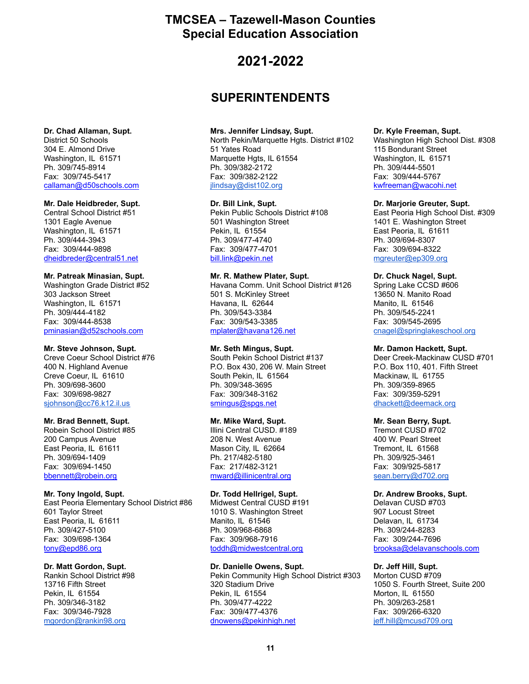### **2021-2022**

### **SUPERINTENDENTS**

### **Dr. Chad Allaman, Supt.**

District 50 Schools 304 E. Almond Drive Washington, IL 61571 Ph. 309/745-8914 Fax: 309/745-5417 [callaman@d50schools.com](mailto:callaman@d50schools.com)

### **Mr. Dale Heidbreder, Supt.**

Central School District #51 1301 Eagle Avenue Washington, IL 61571 Ph. 309/444-3943 Fax: 309/444-9898 [dheidbreder@central51.net](mailto:dheidbreder@central51.net)

### **Mr. Patreak Minasian, Supt.**

Washington Grade District #52 303 Jackson Street Washington, IL 61571 Ph. 309/444-4182 Fax: 309/444-8538 [pminasian@d52schools.com](mailto:pminasian@d52schools.com)

### **Mr. Steve Johnson, Supt.**

Creve Coeur School District #76 400 N. Highland Avenue Creve Coeur, IL 61610 Ph. 309/698-3600 Fax: 309/698-9827 [sjohnson@cc76.k12.il.us](mailto:sjohnson@cc76.k12.il.us)

### **Mr. Brad Bennett, Supt.**

Robein School District #85 200 Campus Avenue East Peoria, IL 61611 Ph. 309/694-1409 Fax: 309/694-1450 [bbennett@robein.org](mailto:bbennett@robein.org)

### **Mr. Tony Ingold, Supt.**

East Peoria Elementary School District #86 601 Taylor Street East Peoria, IL 61611 Ph. 309/427-5100 Fax: 309/698-1364 [tony@epd86.org](mailto:tony@epd86.org)

### **Dr. Matt Gordon, Supt.**

Rankin School District #98 13716 Fifth Street Pekin, IL 61554 Ph. 309/346-3182 Fax: 309/346-7928 [mgordon@rankin98.org](mailto:mgordon@rankin98.org)

### **Mrs. Jennifer Lindsay, Supt.**

North Pekin/Marquette Hgts. District #102 51 Yates Road Marquette Hgts, IL 61554 Ph. 309/382-2172 Fax: 309/382-2122 [jlindsay@dist102.org](mailto:jlindsay@dist102.org)

### **Dr. Bill Link, Supt.**

Pekin Public Schools District #108 501 Washington Street Pekin, IL 61554 Ph. 309/477-4740 Fax: 309/477-4701 [bill.link@pekin.net](mailto:bill.link@pekin.net)

### **Mr. R. Mathew Plater, Supt.**

Havana Comm. Unit School District #126 501 S. McKinley Street Havana, IL 62644 Ph. 309/543-3384 Fax: 309/543-3385 [mplater@havana126.net](mailto:mplater@havana126.net)

### **Mr. Seth Mingus, Supt.**

South Pekin School District #137 P.O. Box 430, 206 W. Main Street South Pekin, IL 61564 Ph. 309/348-3695 Fax: 309/348-3162 [smingus@spgs.net](mailto:smingus@spgs.net)

### **Mr. Mike Ward, Supt.**

Illini Central CUSD. #189 208 N. West Avenue Mason City, IL 62664 Ph. 217/482-5180 Fax: 217/482-3121 [mward@illinicentral.org](mailto:mward@illinicentral.org)

### **Dr. Todd Hellrigel, Supt.**

Midwest Central CUSD #191 1010 S. Washington Street Manito, IL 61546 Ph. 309/968-6868 Fax: 309/968-7916 [toddh@midwestcentral.org](mailto:toddh@midwestcentral.org)

### **Dr. Danielle Owens, Supt.**

Pekin Community High School District #303 320 Stadium Drive Pekin, IL 61554 Ph. 309/477-4222 Fax: 309/477-4376 [dnowens@pekinhigh.net](mailto:gdepatis@pekinhigh.net)

#### **Dr. Kyle Freeman, Supt.**

Washington High School Dist. #308 115 Bondurant Street Washington, IL 61571 Ph. 309/444-5501 Fax: 309/444-5767 [kwfreeman@wacohi.net](mailto:kwfreeman@wacohi.net)

### **Dr. Marjorie Greuter, Supt.**

East Peoria High School Dist. #309 1401 E. Washington Street East Peoria, IL 61611 Ph. 309/694-8307 Fax: 309/694-8322 [mgreuter@ep309.org](mailto:mgreuter@ep309.org)

### **Dr. Chuck Nagel, Supt.**

Spring Lake CCSD #606 13650 N. Manito Road Manito, IL 61546 Ph. 309/545-2241 Fax: 309/545-2695 [cnagel@springlakeschool.org](mailto:cnagel@springlakeschool.org)

### **Mr. Damon Hackett, Supt.**

Deer Creek-Mackinaw CUSD #701 P.O. Box 110, 401. Fifth Street Mackinaw, IL 61755 Ph. 309/359-8965 Fax: 309/359-5291 [dhackett@deemack.org](mailto:dhackett@deemack.org)

### **Mr. Sean Berry, Supt.**

Tremont CUSD #702 400 W. Pearl Street Tremont, IL 61568 Ph. 309/925-3461 Fax: 309/925-5817 [sean.berry@d702.org](mailto:sean.berry@d702.org)

#### **Dr. Andrew Brooks, Supt.**

Delavan CUSD #703 907 Locust Street Delavan, IL 61734 Ph. 309/244-8283 Fax: 309/244-7696 [brooksa@delavanschools.com](mailto:brooksa@delavanschools.com)

### **Dr. Jeff Hill, Supt.**

Morton CUSD #709 1050 S. Fourth Street, Suite 200 Morton, IL 61550 Ph. 309/263-2581 Fax: 309/266-6320 [jeff.hill@mcusd709.org](mailto:jeff.hill@mcusd709.org)